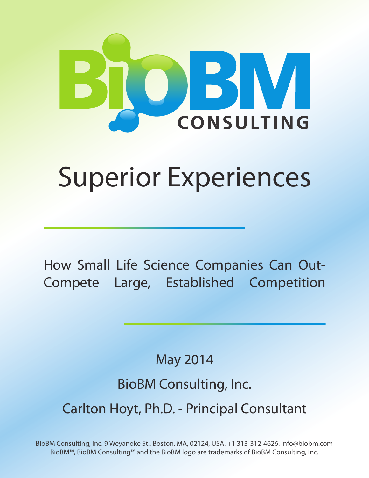

# Superior Experiences

How Small Life Science Companies Can Out-Compete Large, Established Competition

May 2014

## BioBM Consulting, Inc.

Carlton Hoyt, Ph.D. - Principal Consultant

BioBM Consulting, Inc. 9 Weyanoke St., Boston, MA, 02124, USA. +1 313-312-4626. info@biobm.com BioBM™, BioBM Consulting™ and the BioBM logo are trademarks of BioBM Consulting, Inc.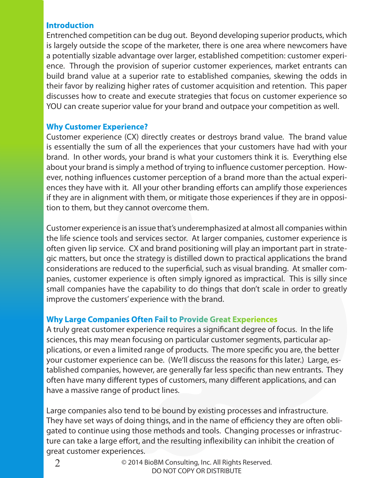#### **Introduction**

Entrenched competition can be dug out. Beyond developing superior products, which is largely outside the scope of the marketer, there is one area where newcomers have a potentially sizable advantage over larger, established competition: customer experience. Through the provision of superior customer experiences, market entrants can build brand value at a superior rate to established companies, skewing the odds in their favor by realizing higher rates of customer acquisition and retention. This paper discusses how to create and execute strategies that focus on customer experience so YOU can create superior value for your brand and outpace your competition as well.

#### **Why Customer Experience?**

Customer experience (CX) directly creates or destroys brand value. The brand value is essentially the sum of all the experiences that your customers have had with your brand. In other words, your brand is what your customers think it is. Everything else about your brand is simply a method of trying to influence customer perception. However, nothing influences customer perception of a brand more than the actual experiences they have with it. All your other branding efforts can amplify those experiences if they are in alignment with them, or mitigate those experiences if they are in opposition to them, but they cannot overcome them.

Customer experience is an issue that's underemphasized at almost all companies within the life science tools and services sector. At larger companies, customer experience is often given lip service. CX and brand positioning will play an important part in strategic matters, but once the strategy is distilled down to practical applications the brand considerations are reduced to the superficial, such as visual branding. At smaller companies, customer experience is often simply ignored as impractical. This is silly since small companies have the capability to do things that don't scale in order to greatly improve the customers' experience with the brand.

#### **Why Large Companies Often Fail to Provide Great Experiences**

A truly great customer experience requires a significant degree of focus. In the life sciences, this may mean focusing on particular customer segments, particular applications, or even a limited range of products. The more specific you are, the better your customer experience can be. (We'll discuss the reasons for this later.) Large, established companies, however, are generally far less specific than new entrants. They often have many different types of customers, many different applications, and can have a massive range of product lines.

Large companies also tend to be bound by existing processes and infrastructure. They have set ways of doing things, and in the name of efficiency they are often obligated to continue using those methods and tools. Changing processes or infrastructure can take a large effort, and the resulting inflexibility can inhibit the creation of great customer experiences.

2

© 2014 BioBM Consulting, Inc. All Rights Reserved. DO NOT COPY OR DISTRIBUTE